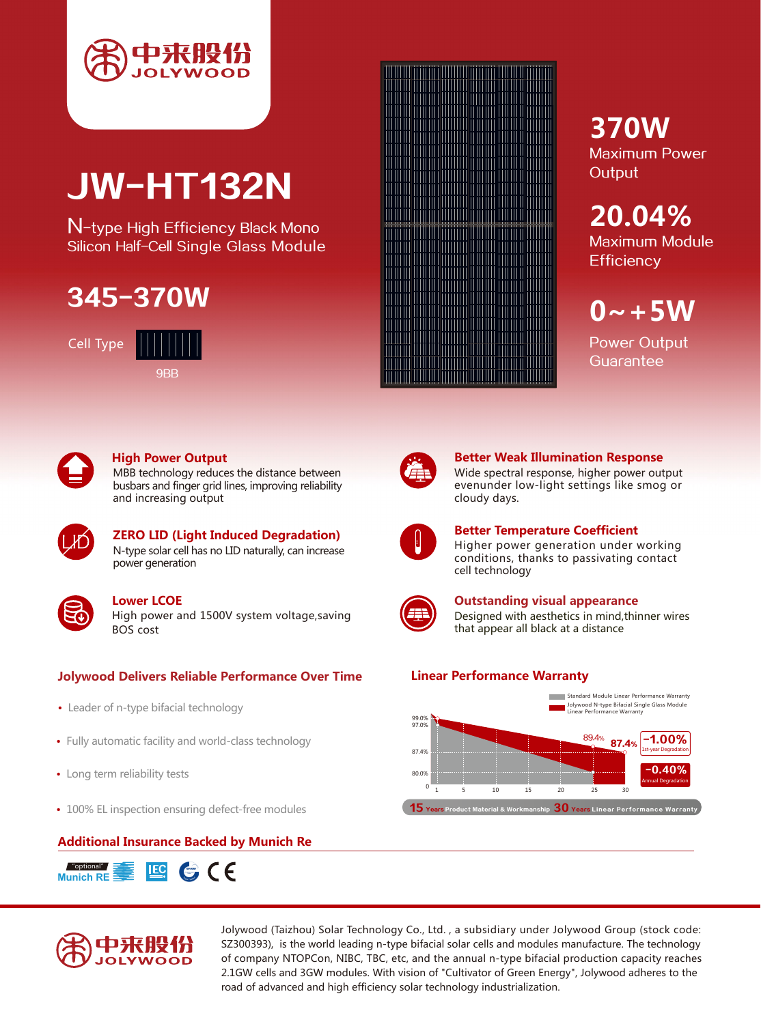

# JW-HT132N

N-type High Efficiency Black Mono Silicon Half-Cell Single Glass Module

## 345-370W

Cell Type





## **High Power Output**

MBB technology reduces the distance between busbars and finger grid lines, improving reliability and increasing output



**ZERO LID (Light Induced Degradation)** N-type solar cell has no LID naturally, can increase power generation

## **Lower LCOE**

High power and 1500V system voltage,saving BOS cost

## **Jolywood Delivers Reliable Performance Over Time Linear Performance Warranty**

- Leader of n-type bifacial technology
- Fully automatic facility and world-class technology
- Long term reliability tests
- 100% EL inspection ensuring defect-free modules







## **370W** Maximum Power **Output**

**20.04%** Maximum Module **Efficiency** 

 $0 - +5W$ 

Power Output **Guarantee** 



## **Better Weak Illumination Response**

Wide spectral response, higher power output evenunder low-light settings like smog or cloudy days.



## **Better Temperature Coefficient**

Higher power generation under working conditions, thanks to passivating contact cell technology



**Outstanding visual appearance** Designed with aesthetics in mind,thinner wires that appear all black at a distance



Jolywood (Taizhou) Solar Technology Co., Ltd. , a subsidiary under Jolywood Group (stock code: SZ300393), is the world leading n-type bifacial solar cells and modules manufacture. The technology of company NTOPCon, NIBC, TBC, etc, and the annual n-type bifacial production capacity reaches 2.1GW cells and 3GW modules. With vision of "Cultivator of Green Energy", Jolywood adheres to the road of advanced and high efficiency solar technology industrialization.